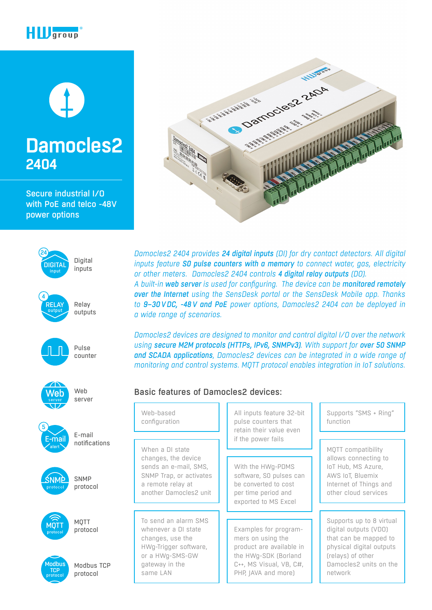



Secure industrial I/O with PoE and telco -48V power options





Digital inputs



Relay outputs



Pulse counter



Web server



E-mail notifications





protocol TCP

Modbus TCP protocol Modbus

SNMP protocol *Damocles2 2404 provides 24 digital inputs (DI) for dry contact detectors. All digital inputs feature S0 pulse counters with a memory to connect water, gas, electricity or other meters. Damocles2 2404 controls 4 digital relay outputs (DO). A built-in web server is used for configuring. The device can be monitored remotely over the Internet using the SensDesk portal or the SensDesk Mobile app. Thanks to 9–30VDC, -48V and PoE power options, Damocles2 2404 can be deployed in a wide range of scenarios.*

*Damocles2 devices are designed to monitor and control digital I/O over the network using secure M2M protocols (HTTPs, IPv6, SNMPv3). With support for over 50 SNMP and SCADA applications, Damocles2 devices can be integrated in a wide range of monitoring and control systems. MQTT protocol enables integration in IoT solutions.*

#### Basic features of Damocles2 devices:

Web-based configuration

When a DI state changes, the device sends an e-mail, SMS, SNMP Trap, or activates a remote relay at another Damocles2 unit

To send an alarm SMS whenever a DI state changes, use the HWg-Trigger software, or a HWg-SMS-GW gateway in the same LAN

All inputs feature 32-bit pulse counters that retain their value even if the power fails

With the HWg-PDMS software, S0 pulses can be converted to cost per time period and exported to MS Excel

Examples for programmers on using the product are available in the HWg-SDK (Borland C++, MS Visual, VB, C#, PHP, JAVA and more)

Supports "SMS + Ring" function

MQTT compatibility allows connecting to IoT Hub, MS Azure, AWS IoT, Bluemix Internet of Things and other cloud services

Supports up to 8 virtual digital outputs (VDO) that can be mapped to physical digital outputs (relays) of other Damocles2 units on the network